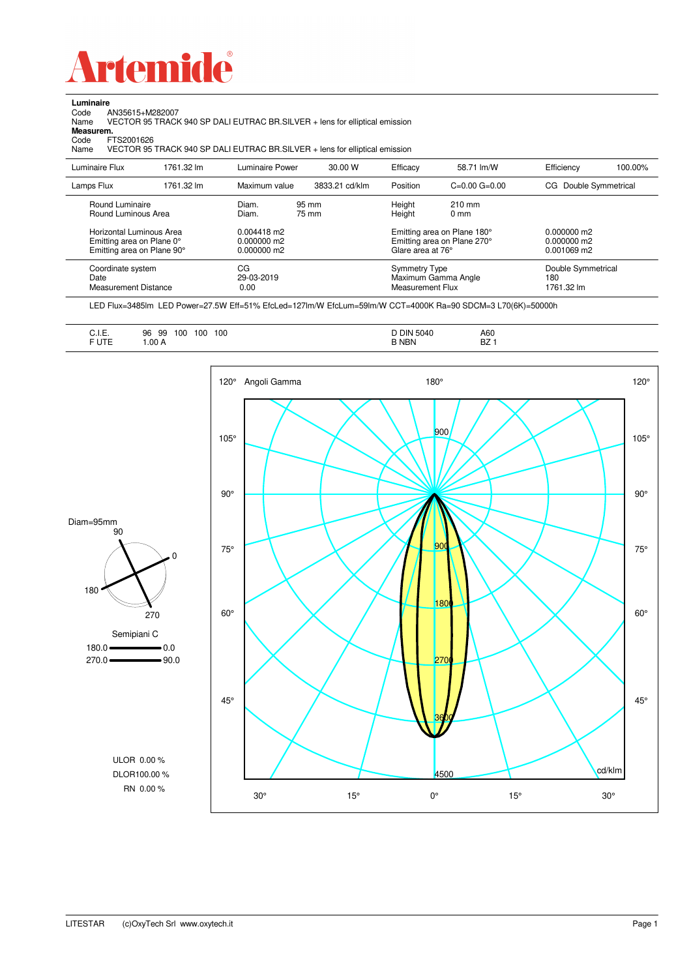

Code AN35615+M282007 Name VECTOR 95 TRACK 940 SP DALI EUTRAC BR.SILVER + lens for elliptical emission Earlington<br>
Code Al<br> **Measurem.** 

Code FTS2001626<br>Name VECTOR 95 VECTOR 95 TRACK 940 SP DALI EUTRAC BR.SILVER + lens for elliptical emission

| Luminaire Flux                                                                                  | 1761.32 lm | <b>Luminaire Power</b>                           | 30.00 W        | Efficacy                                 | 58.71 lm/W                                                                                       | Efficiency                              | 100.00% |
|-------------------------------------------------------------------------------------------------|------------|--------------------------------------------------|----------------|------------------------------------------|--------------------------------------------------------------------------------------------------|-----------------------------------------|---------|
| Lamps Flux                                                                                      | 1761.32 lm | Maximum value                                    | 3833.21 cd/klm | Position                                 | $C=0.00$ $G=0.00$                                                                                | Double Symmetrical<br>CG.               |         |
| Round Luminaire<br>Round Luminous Area<br>Horizontal Luminous Area<br>Emitting area on Plane 0° |            | Diam.<br>Diam.<br>$0.004418$ m2<br>$0.000000$ m2 | 95 mm<br>75 mm | Height<br>Height                         | $210 \text{ mm}$<br>$0 \text{ mm}$<br>Emitting area on Plane 180°<br>Emitting area on Plane 270° | $0.000000$ m2<br>$0.000000$ m2          |         |
| Emitting area on Plane 90°                                                                      |            | $0.000000$ m2                                    |                | Glare area at 76°                        |                                                                                                  | $0.001069$ m2                           |         |
| Coordinate system<br>Date<br>Measurement Distance                                               |            | CG<br>29-03-2019<br>0.00                         |                | <b>Symmetry Type</b><br>Measurement Flux | Maximum Gamma Angle                                                                              | Double Symmetrical<br>180<br>1761.32 lm |         |

LED Flux=3485lm LED Power=27.5W Eff=51% EfcLed=127lm/W EfcLum=59lm/W CCT=4000K Ra=90 SDCM=3 L70(6K)=50000h

|--|--|